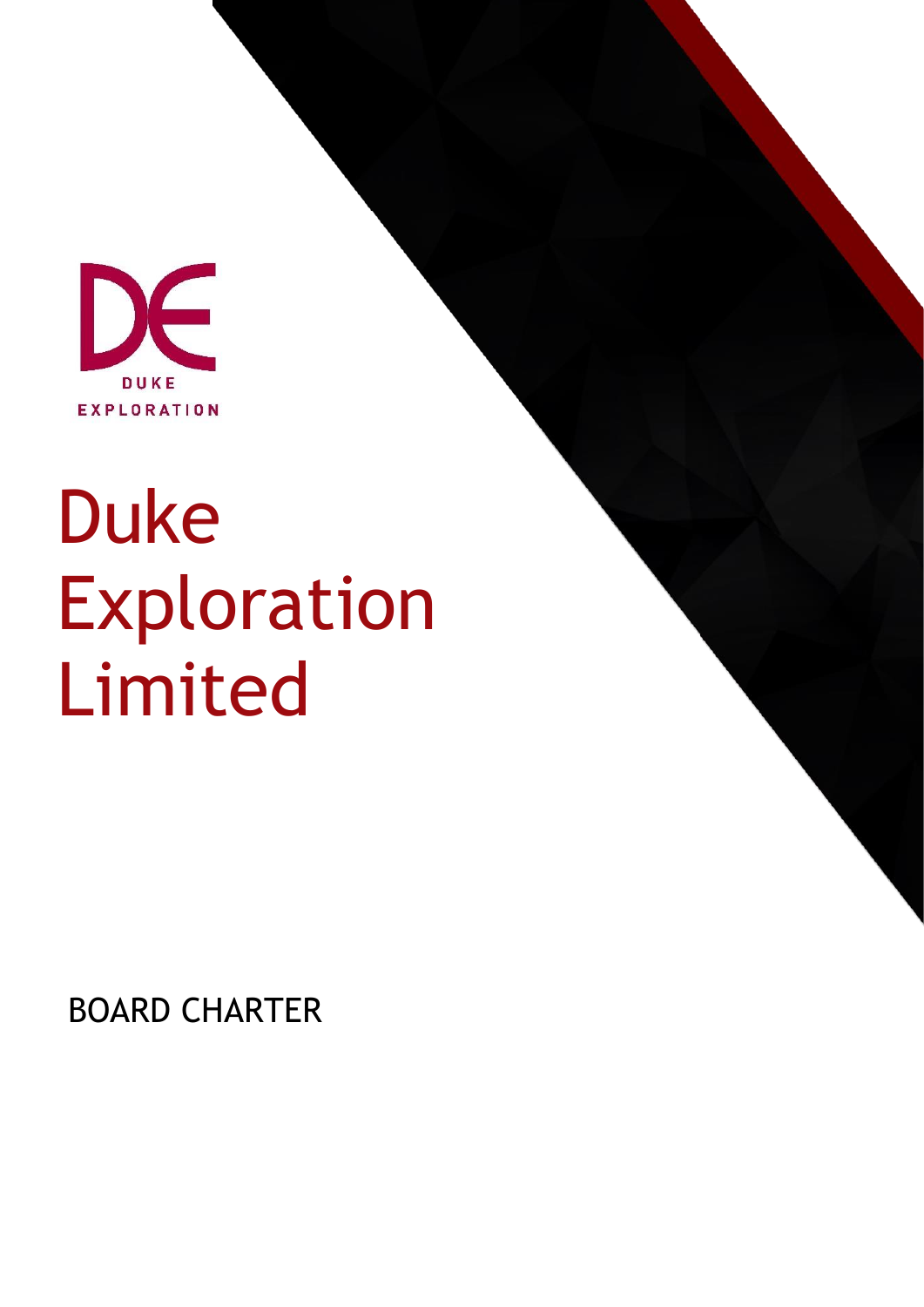

# Duke Exploration Limited

BOARD CHARTER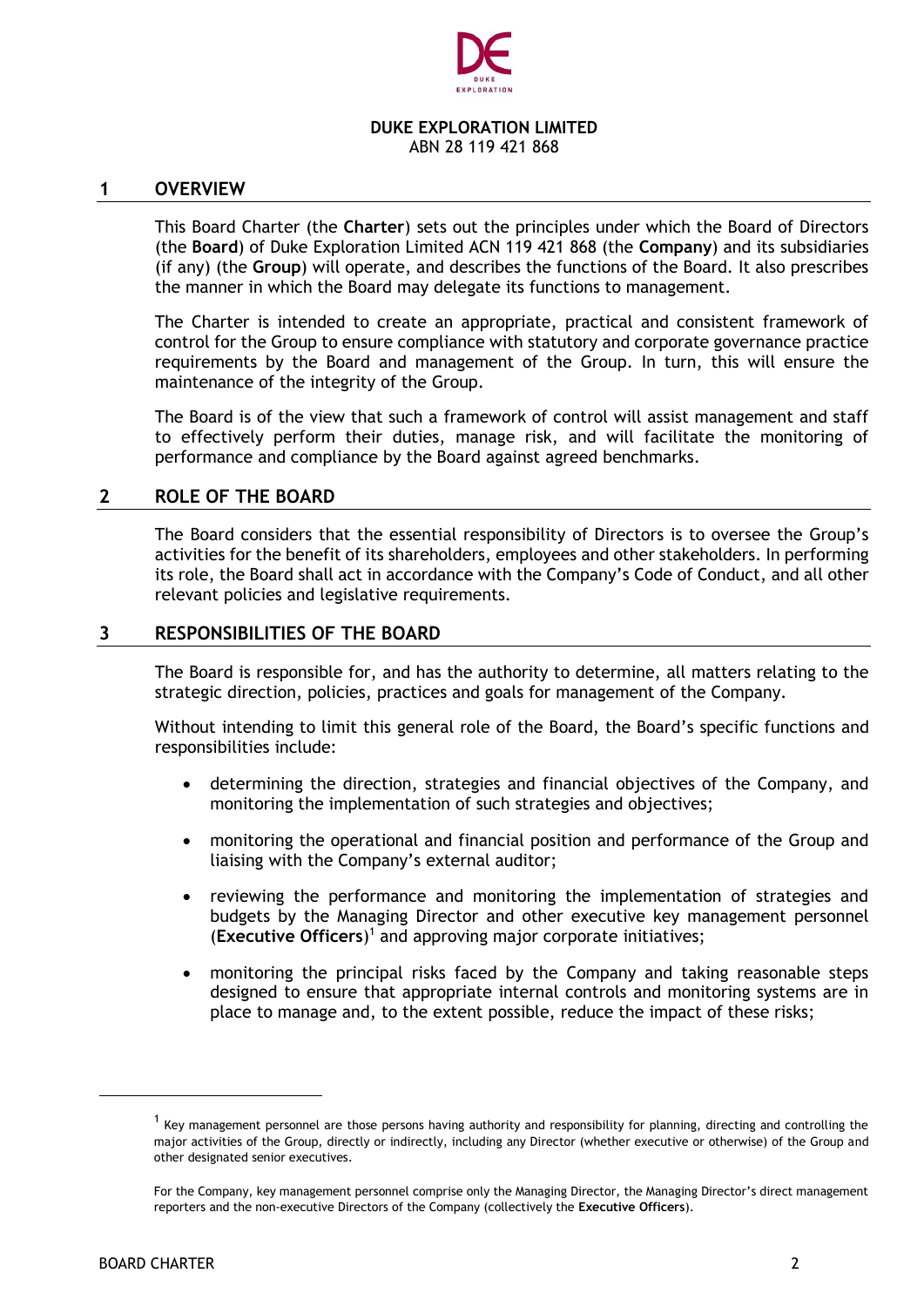

#### **DUKE EXPLORATION LIMITED** ABN 28 119 421 868

#### **1 OVERVIEW**

This Board Charter (the **Charter**) sets out the principles under which the Board of Directors (the **Board**) of Duke Exploration Limited ACN 119 421 868 (the **Company**) and its subsidiaries (if any) (the **Group**) will operate, and describes the functions of the Board. It also prescribes the manner in which the Board may delegate its functions to management.

The Charter is intended to create an appropriate, practical and consistent framework of control for the Group to ensure compliance with statutory and corporate governance practice requirements by the Board and management of the Group. In turn, this will ensure the maintenance of the integrity of the Group.

The Board is of the view that such a framework of control will assist management and staff to effectively perform their duties, manage risk, and will facilitate the monitoring of performance and compliance by the Board against agreed benchmarks.

#### **2 ROLE OF THE BOARD**

The Board considers that the essential responsibility of Directors is to oversee the Group's activities for the benefit of its shareholders, employees and other stakeholders. In performing its role, the Board shall act in accordance with the Company's Code of Conduct, and all other relevant policies and legislative requirements.

#### **3 RESPONSIBILITIES OF THE BOARD**

The Board is responsible for, and has the authority to determine, all matters relating to the strategic direction, policies, practices and goals for management of the Company.

Without intending to limit this general role of the Board, the Board's specific functions and responsibilities include:

- determining the direction, strategies and financial objectives of the Company, and monitoring the implementation of such strategies and objectives;
- monitoring the operational and financial position and performance of the Group and liaising with the Company's external auditor;
- reviewing the performance and monitoring the implementation of strategies and budgets by the Managing Director and other executive key management personnel (**Executive Officers**) 1 and approving major corporate initiatives;
- monitoring the principal risks faced by the Company and taking reasonable steps designed to ensure that appropriate internal controls and monitoring systems are in place to manage and, to the extent possible, reduce the impact of these risks;

 $<sup>1</sup>$  Key management personnel are those persons having authority and responsibility for planning, directing and controlling the</sup> major activities of the Group, directly or indirectly, including any Director (whether executive or otherwise) of the Group and other designated senior executives.

For the Company, key management personnel comprise only the Managing Director, the Managing Director's direct management reporters and the non-executive Directors of the Company (collectively the **Executive Officers**).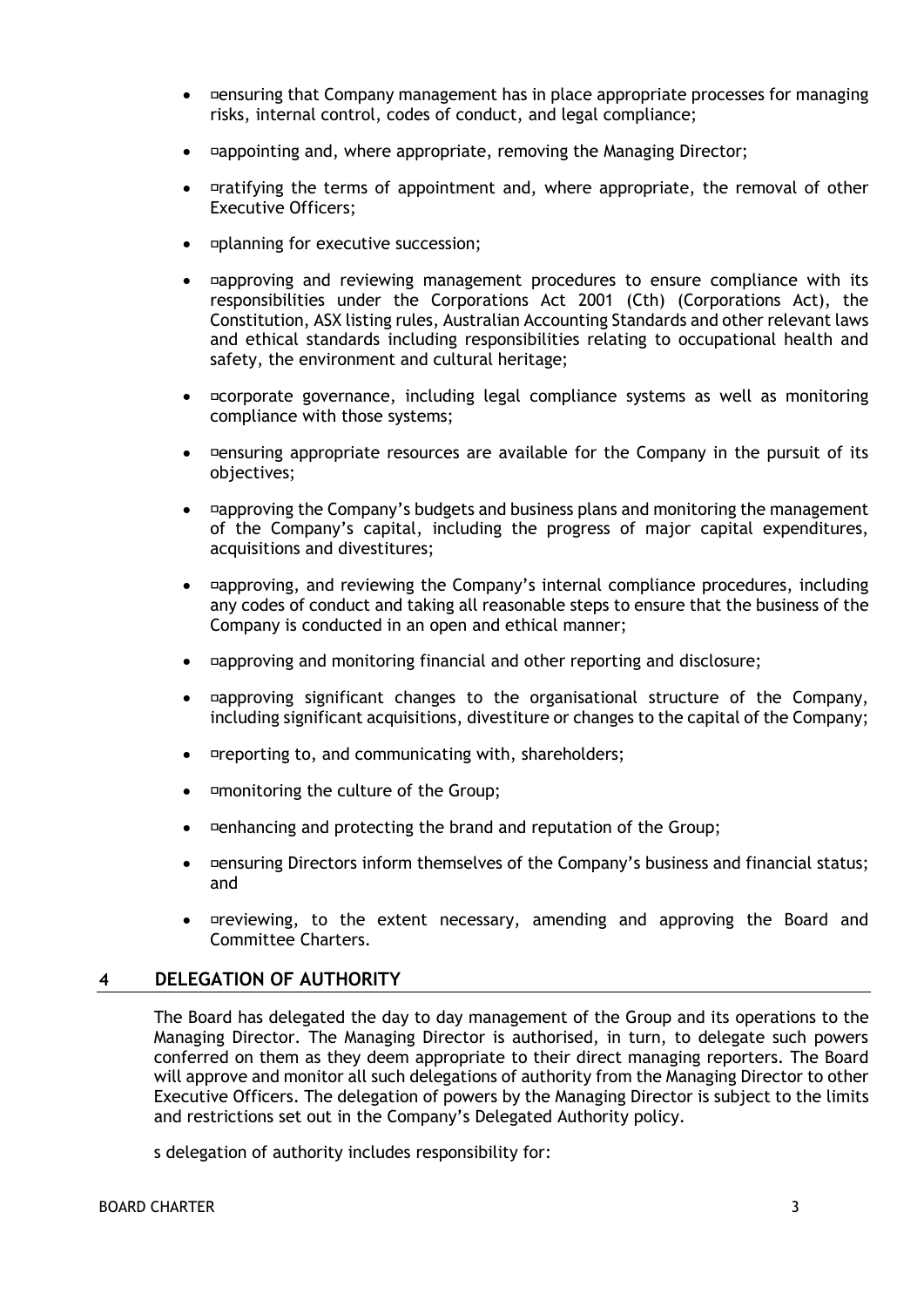- ensuring that Company management has in place appropriate processes for managing risks, internal control, codes of conduct, and legal compliance;
- appointing and, where appropriate, removing the Managing Director;
- $P$  aratifying the terms of appointment and, where appropriate, the removal of other Executive Officers;
- planning for executive succession;
- **approving and reviewing management procedures to ensure compliance with its** responsibilities under the Corporations Act 2001 (Cth) (Corporations Act), the Constitution, ASX listing rules, Australian Accounting Standards and other relevant laws and ethical standards including responsibilities relating to occupational health and safety, the environment and cultural heritage;
- ¤corporate governance, including legal compliance systems as well as monitoring compliance with those systems;
- $\bullet$  ensuring appropriate resources are available for the Company in the pursuit of its objectives;
- approving the Company's budgets and business plans and monitoring the management of the Company's capital, including the progress of major capital expenditures, acquisitions and divestitures;
- approving, and reviewing the Company's internal compliance procedures, including any codes of conduct and taking all reasonable steps to ensure that the business of the Company is conducted in an open and ethical manner;
- approving and monitoring financial and other reporting and disclosure;
- approving significant changes to the organisational structure of the Company, including significant acquisitions, divestiture or changes to the capital of the Company;
- reporting to, and communicating with, shareholders;
- monitoring the culture of the Group;
- enhancing and protecting the brand and reputation of the Group;
- Densuring Directors inform themselves of the Company's business and financial status; and
- *¤reviewing*, to the extent necessary, amending and approving the Board and Committee Charters.

## **4 DELEGATION OF AUTHORITY**

The Board has delegated the day to day management of the Group and its operations to the Managing Director. The Managing Director is authorised, in turn, to delegate such powers conferred on them as they deem appropriate to their direct managing reporters. The Board will approve and monitor all such delegations of authority from the Managing Director to other Executive Officers. The delegation of powers by the Managing Director is subject to the limits and restrictions set out in the Company's Delegated Authority policy.

s delegation of authority includes responsibility for: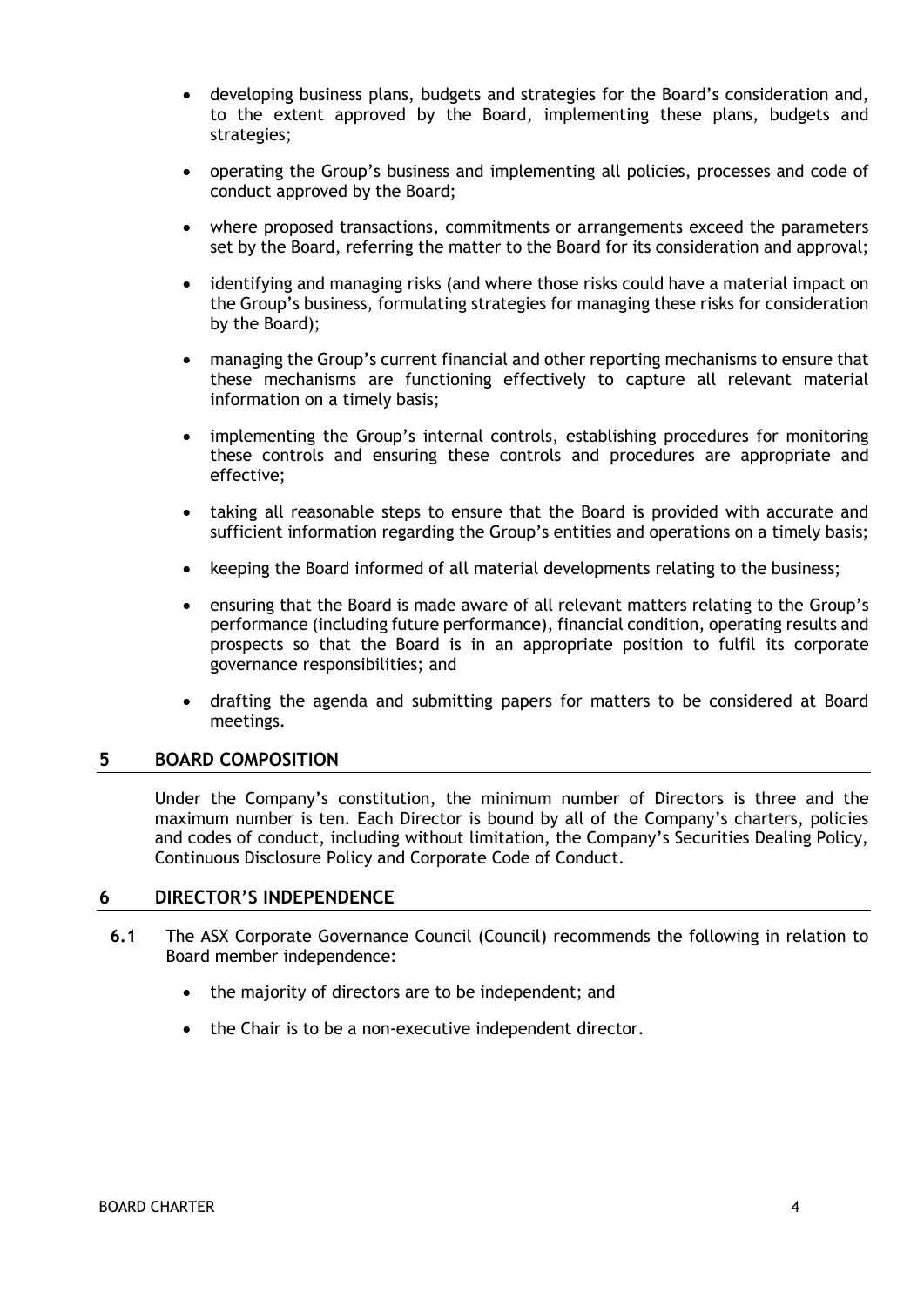- developing business plans, budgets and strategies for the Board's consideration and, to the extent approved by the Board, implementing these plans, budgets and strategies;
- operating the Group's business and implementing all policies, processes and code of conduct approved by the Board;
- where proposed transactions, commitments or arrangements exceed the parameters set by the Board, referring the matter to the Board for its consideration and approval;
- identifying and managing risks (and where those risks could have a material impact on the Group's business, formulating strategies for managing these risks for consideration by the Board);
- managing the Group's current financial and other reporting mechanisms to ensure that these mechanisms are functioning effectively to capture all relevant material information on a timely basis;
- implementing the Group's internal controls, establishing procedures for monitoring these controls and ensuring these controls and procedures are appropriate and effective;
- taking all reasonable steps to ensure that the Board is provided with accurate and sufficient information regarding the Group's entities and operations on a timely basis;
- keeping the Board informed of all material developments relating to the business;
- ensuring that the Board is made aware of all relevant matters relating to the Group's performance (including future performance), financial condition, operating results and prospects so that the Board is in an appropriate position to fulfil its corporate governance responsibilities; and
- drafting the agenda and submitting papers for matters to be considered at Board meetings.

# **5 BOARD COMPOSITION**

Under the Company's constitution, the minimum number of Directors is three and the maximum number is ten. Each Director is bound by all of the Company's charters, policies and codes of conduct, including without limitation, the Company's Securities Dealing Policy, Continuous Disclosure Policy and Corporate Code of Conduct.

## **6 DIRECTOR'S INDEPENDENCE**

- **6.1** The ASX Corporate Governance Council (Council) recommends the following in relation to Board member independence:
	- the majority of directors are to be independent; and
	- the Chair is to be a non-executive independent director.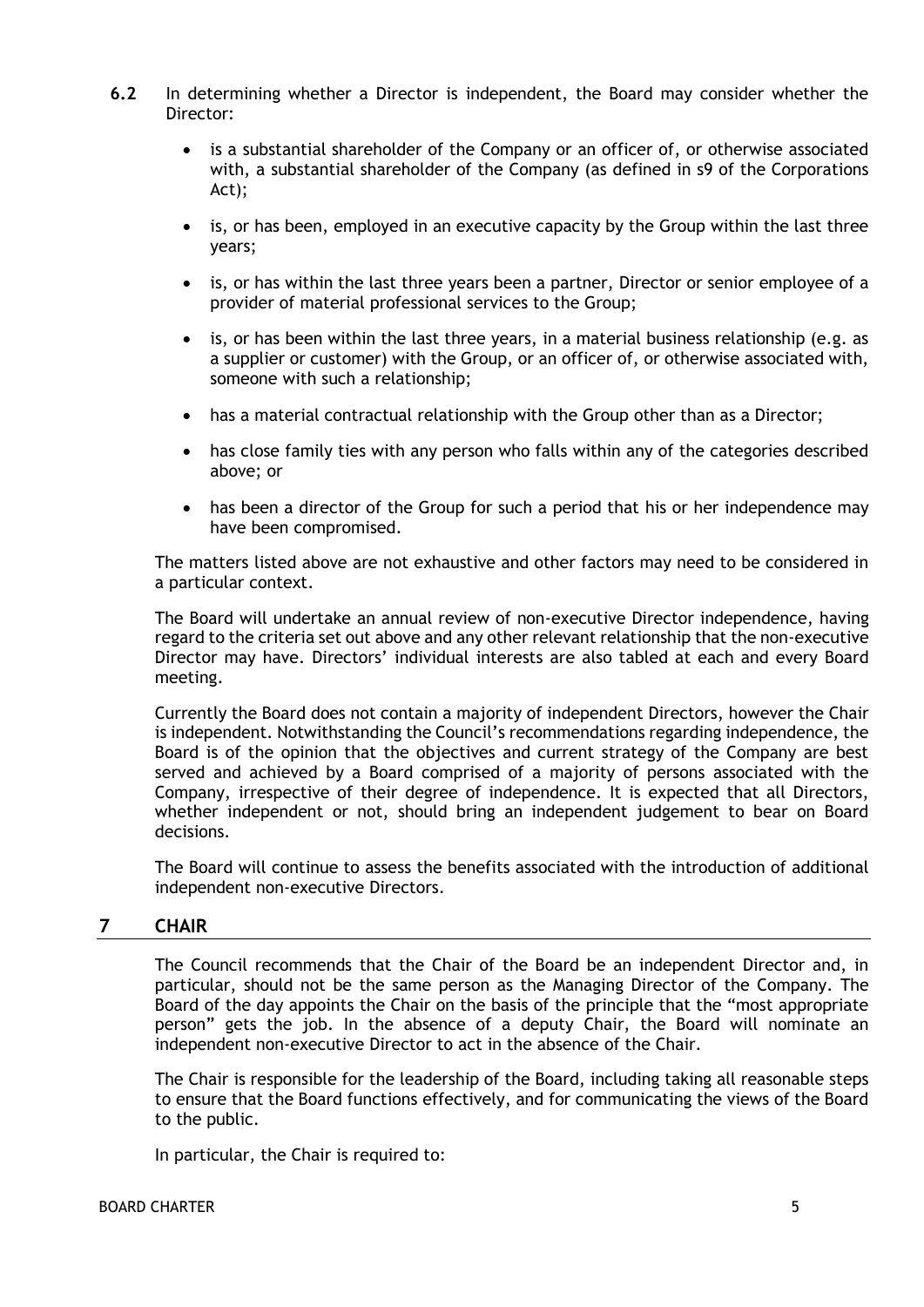- **6.2** In determining whether a Director is independent, the Board may consider whether the Director:
	- is a substantial shareholder of the Company or an officer of, or otherwise associated with, a substantial shareholder of the Company (as defined in s9 of the Corporations Act);
	- is, or has been, employed in an executive capacity by the Group within the last three years;
	- is, or has within the last three years been a partner, Director or senior employee of a provider of material professional services to the Group;
	- is, or has been within the last three years, in a material business relationship (e.g. as a supplier or customer) with the Group, or an officer of, or otherwise associated with, someone with such a relationship;
	- has a material contractual relationship with the Group other than as a Director;
	- has close family ties with any person who falls within any of the categories described above; or
	- has been a director of the Group for such a period that his or her independence may have been compromised.

The matters listed above are not exhaustive and other factors may need to be considered in a particular context.

The Board will undertake an annual review of non-executive Director independence, having regard to the criteria set out above and any other relevant relationship that the non-executive Director may have. Directors' individual interests are also tabled at each and every Board meeting.

Currently the Board does not contain a majority of independent Directors, however the Chair is independent. Notwithstanding the Council's recommendations regarding independence, the Board is of the opinion that the objectives and current strategy of the Company are best served and achieved by a Board comprised of a majority of persons associated with the Company, irrespective of their degree of independence. It is expected that all Directors, whether independent or not, should bring an independent judgement to bear on Board decisions.

The Board will continue to assess the benefits associated with the introduction of additional independent non-executive Directors.

## **7 CHAIR**

The Council recommends that the Chair of the Board be an independent Director and, in particular, should not be the same person as the Managing Director of the Company. The Board of the day appoints the Chair on the basis of the principle that the "most appropriate person" gets the job. In the absence of a deputy Chair, the Board will nominate an independent non-executive Director to act in the absence of the Chair.

The Chair is responsible for the leadership of the Board, including taking all reasonable steps to ensure that the Board functions effectively, and for communicating the views of the Board to the public.

In particular, the Chair is required to: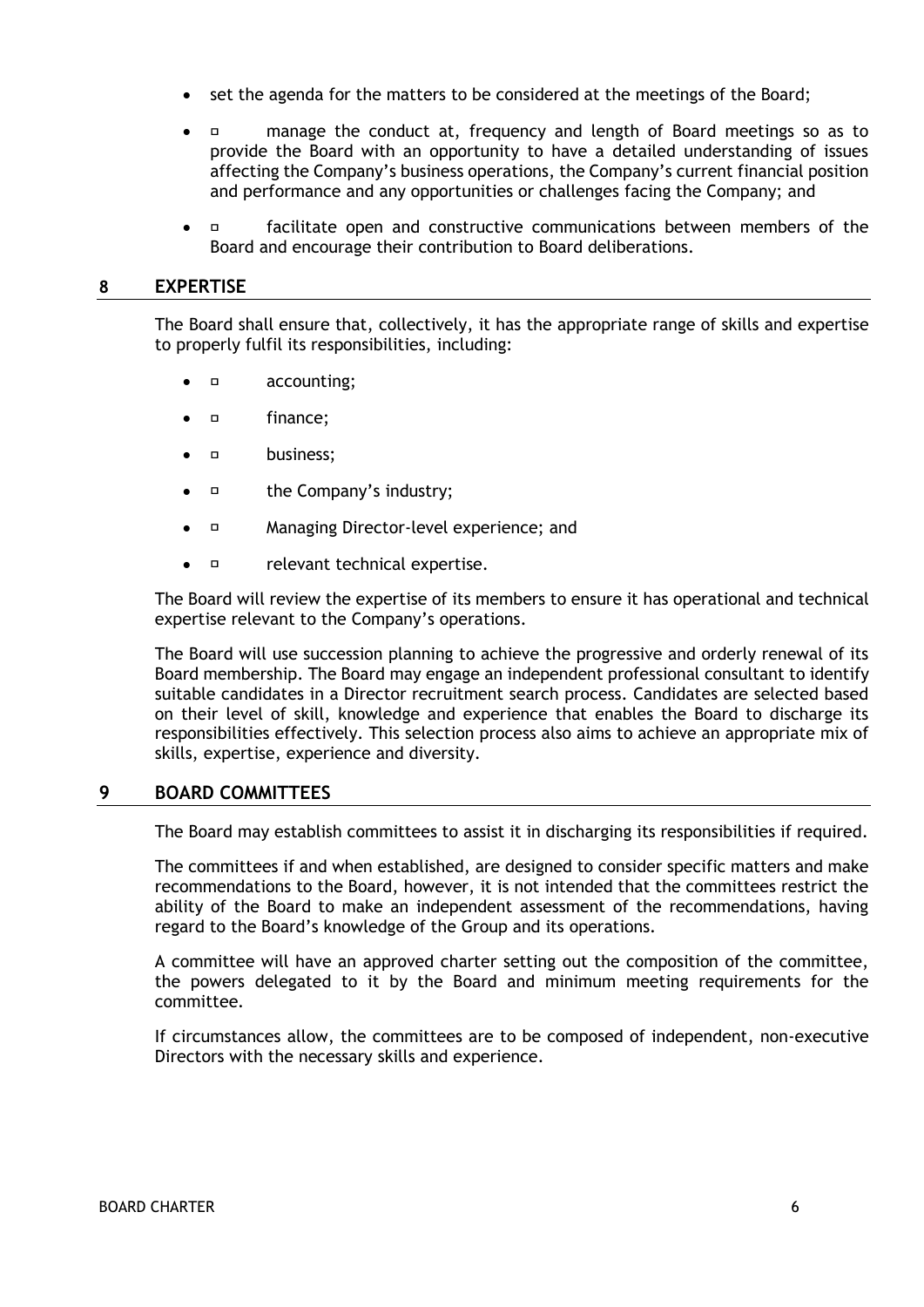- set the agenda for the matters to be considered at the meetings of the Board;
- manage the conduct at, frequency and length of Board meetings so as to provide the Board with an opportunity to have a detailed understanding of issues affecting the Company's business operations, the Company's current financial position and performance and any opportunities or challenges facing the Company; and
- facilitate open and constructive communications between members of the Board and encourage their contribution to Board deliberations.

## **8 EXPERTISE**

The Board shall ensure that, collectively, it has the appropriate range of skills and expertise to properly fulfil its responsibilities, including:

- accounting;
- finance;
- business;
- the Company's industry;
- Managing Director-level experience; and
- *¤* relevant technical expertise.

The Board will review the expertise of its members to ensure it has operational and technical expertise relevant to the Company's operations.

The Board will use succession planning to achieve the progressive and orderly renewal of its Board membership. The Board may engage an independent professional consultant to identify suitable candidates in a Director recruitment search process. Candidates are selected based on their level of skill, knowledge and experience that enables the Board to discharge its responsibilities effectively. This selection process also aims to achieve an appropriate mix of skills, expertise, experience and diversity.

## **9 BOARD COMMITTEES**

The Board may establish committees to assist it in discharging its responsibilities if required.

The committees if and when established, are designed to consider specific matters and make recommendations to the Board, however, it is not intended that the committees restrict the ability of the Board to make an independent assessment of the recommendations, having regard to the Board's knowledge of the Group and its operations.

A committee will have an approved charter setting out the composition of the committee, the powers delegated to it by the Board and minimum meeting requirements for the committee.

If circumstances allow, the committees are to be composed of independent, non-executive Directors with the necessary skills and experience.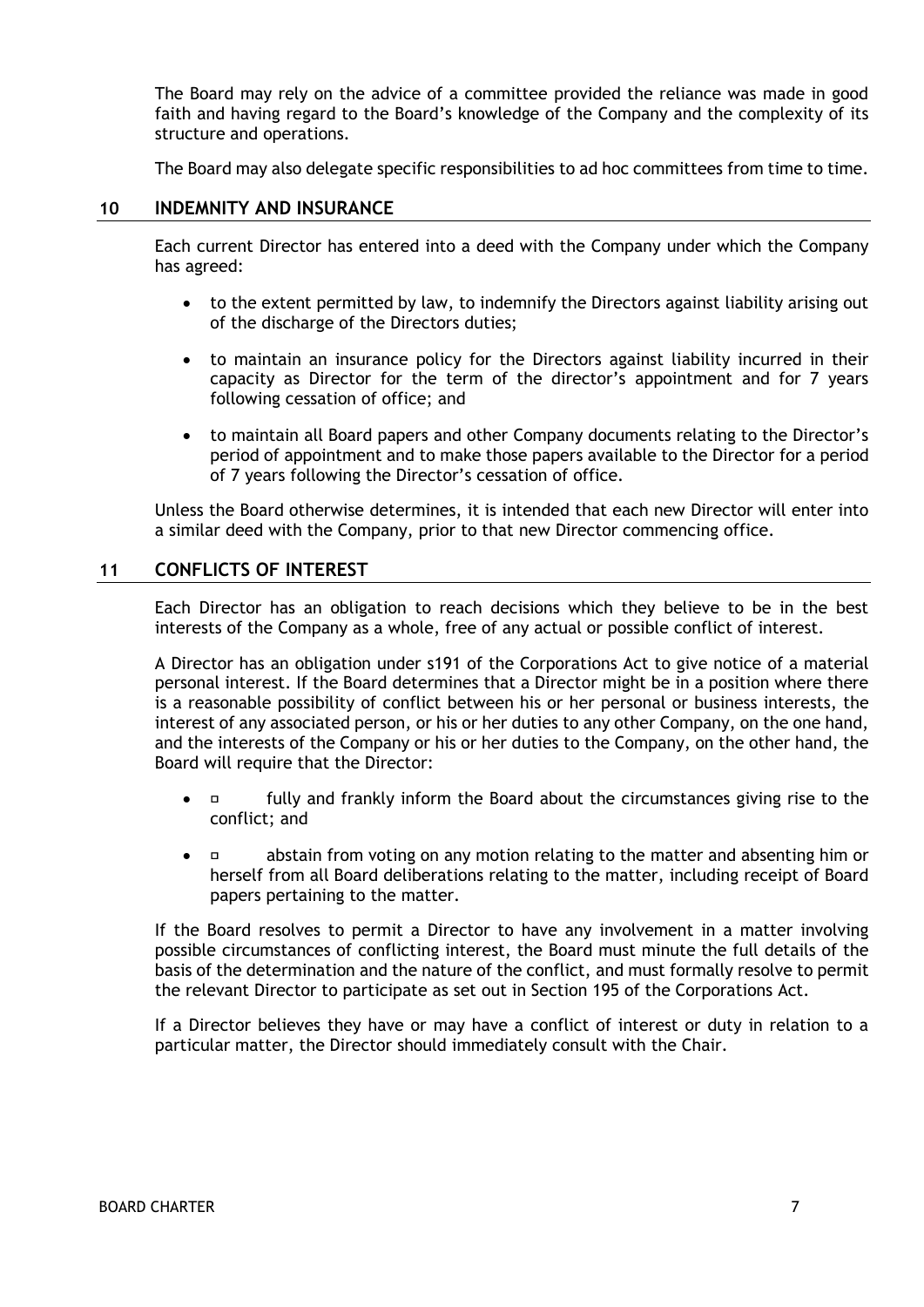The Board may rely on the advice of a committee provided the reliance was made in good faith and having regard to the Board's knowledge of the Company and the complexity of its structure and operations.

The Board may also delegate specific responsibilities to ad hoc committees from time to time.

## **10 INDEMNITY AND INSURANCE**

Each current Director has entered into a deed with the Company under which the Company has agreed:

- to the extent permitted by law, to indemnify the Directors against liability arising out of the discharge of the Directors duties;
- to maintain an insurance policy for the Directors against liability incurred in their capacity as Director for the term of the director's appointment and for 7 years following cessation of office; and
- to maintain all Board papers and other Company documents relating to the Director's period of appointment and to make those papers available to the Director for a period of 7 years following the Director's cessation of office.

Unless the Board otherwise determines, it is intended that each new Director will enter into a similar deed with the Company, prior to that new Director commencing office.

# **11 CONFLICTS OF INTEREST**

Each Director has an obligation to reach decisions which they believe to be in the best interests of the Company as a whole, free of any actual or possible conflict of interest.

A Director has an obligation under s191 of the Corporations Act to give notice of a material personal interest. If the Board determines that a Director might be in a position where there is a reasonable possibility of conflict between his or her personal or business interests, the interest of any associated person, or his or her duties to any other Company, on the one hand, and the interests of the Company or his or her duties to the Company, on the other hand, the Board will require that the Director:

- fully and frankly inform the Board about the circumstances giving rise to the conflict; and
- abstain from voting on any motion relating to the matter and absenting him or herself from all Board deliberations relating to the matter, including receipt of Board papers pertaining to the matter.

If the Board resolves to permit a Director to have any involvement in a matter involving possible circumstances of conflicting interest, the Board must minute the full details of the basis of the determination and the nature of the conflict, and must formally resolve to permit the relevant Director to participate as set out in Section 195 of the Corporations Act.

If a Director believes they have or may have a conflict of interest or duty in relation to a particular matter, the Director should immediately consult with the Chair.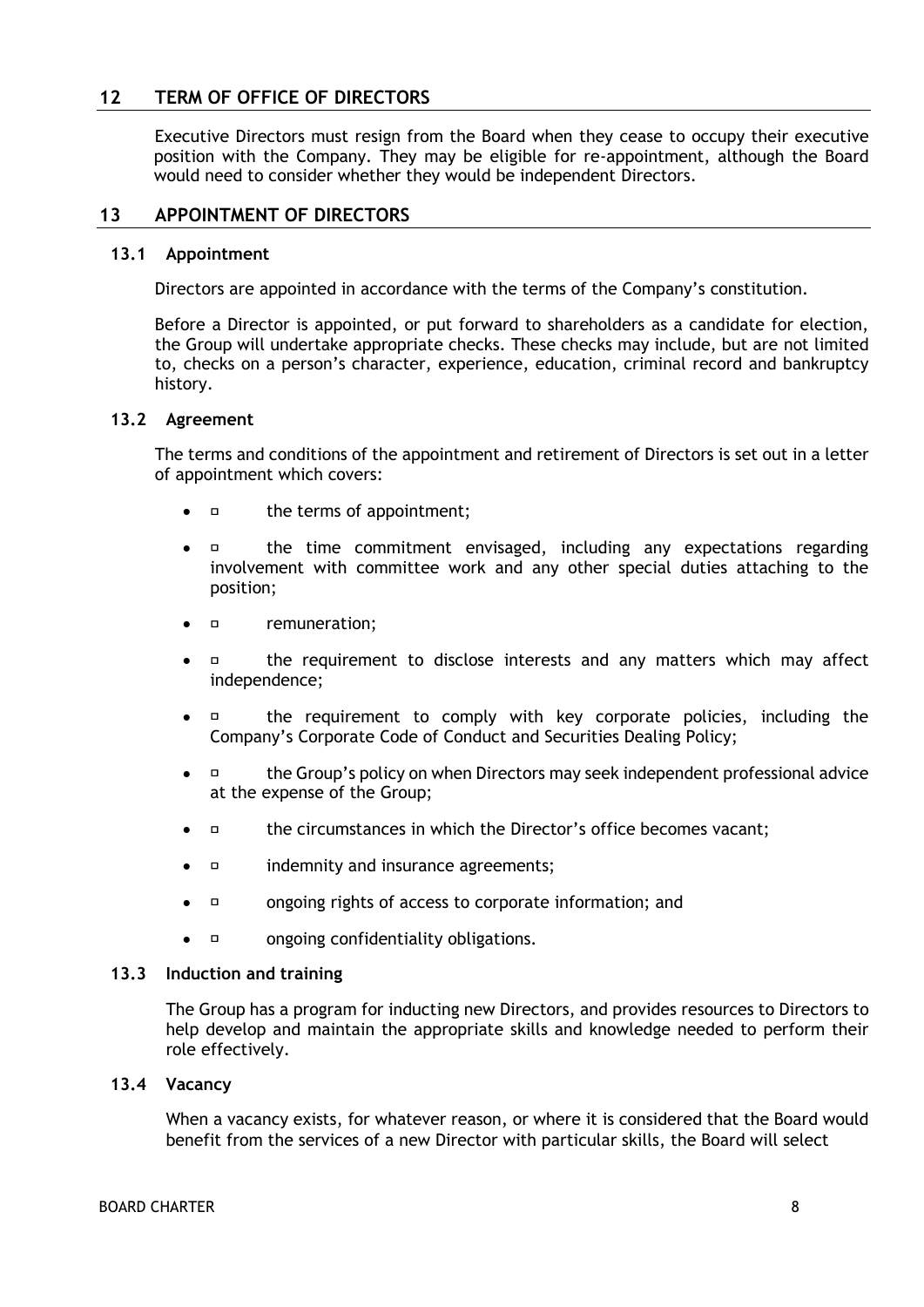# **12 TERM OF OFFICE OF DIRECTORS**

Executive Directors must resign from the Board when they cease to occupy their executive position with the Company. They may be eligible for re-appointment, although the Board would need to consider whether they would be independent Directors.

## **13 APPOINTMENT OF DIRECTORS**

#### **13.1 Appointment**

Directors are appointed in accordance with the terms of the Company's constitution.

Before a Director is appointed, or put forward to shareholders as a candidate for election, the Group will undertake appropriate checks. These checks may include, but are not limited to, checks on a person's character, experience, education, criminal record and bankruptcy history.

#### **13.2 Agreement**

The terms and conditions of the appointment and retirement of Directors is set out in a letter of appointment which covers:

- the terms of appointment;
- $\Box$  the time commitment envisaged, including any expectations regarding involvement with committee work and any other special duties attaching to the position;
- remuneration;
- the requirement to disclose interests and any matters which may affect independence;
- $\Box$  the requirement to comply with key corporate policies, including the Company's Corporate Code of Conduct and Securities Dealing Policy;
- the Group's policy on when Directors may seek independent professional advice at the expense of the Group;
- $\Box$  the circumstances in which the Director's office becomes vacant;
- indemnity and insurance agreements;
- ongoing rights of access to corporate information; and
- *n* ongoing confidentiality obligations.

#### **13.3 Induction and training**

The Group has a program for inducting new Directors, and provides resources to Directors to help develop and maintain the appropriate skills and knowledge needed to perform their role effectively.

#### **13.4 Vacancy**

When a vacancy exists, for whatever reason, or where it is considered that the Board would benefit from the services of a new Director with particular skills, the Board will select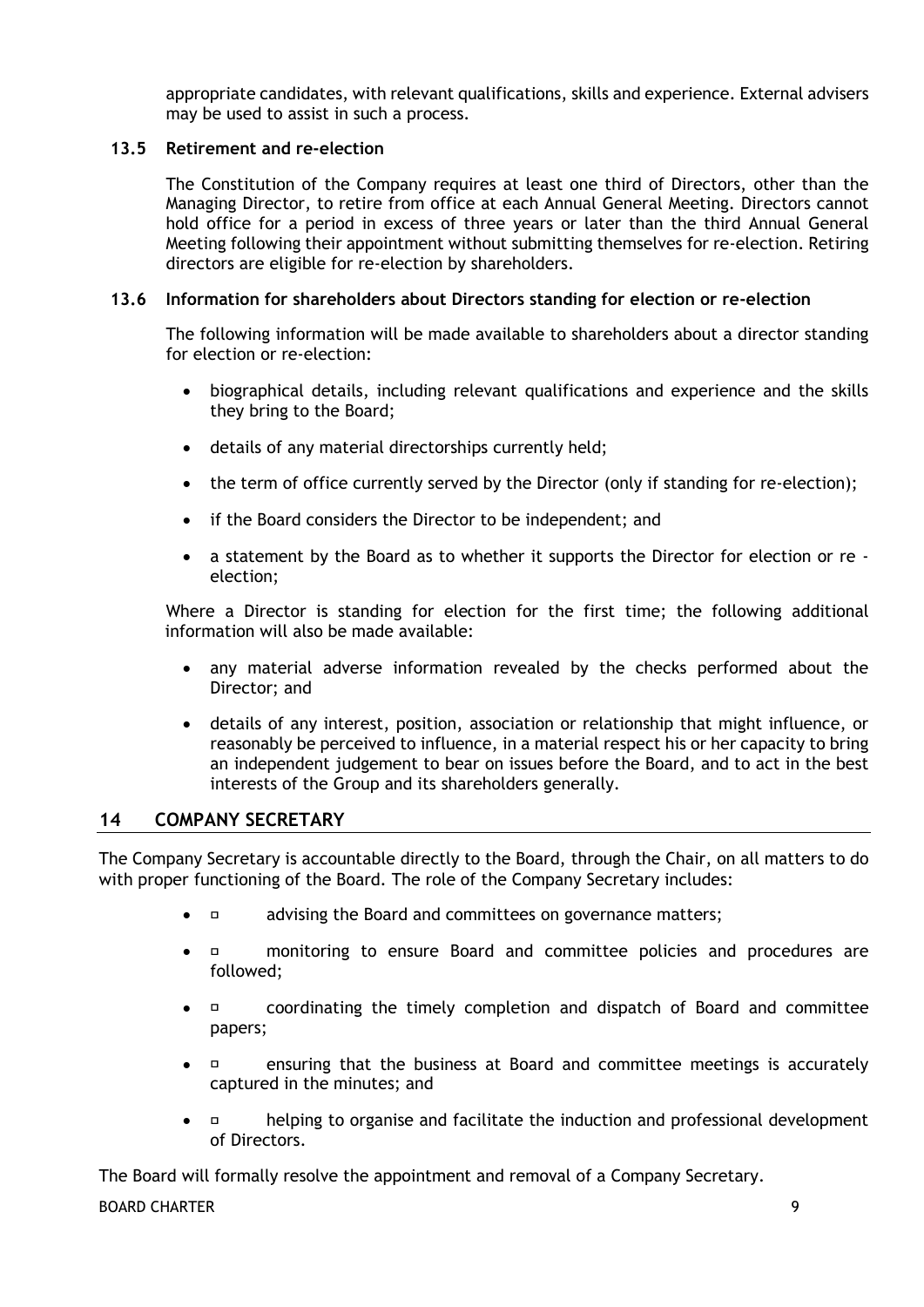appropriate candidates, with relevant qualifications, skills and experience. External advisers may be used to assist in such a process.

# **13.5 Retirement and re-election**

The Constitution of the Company requires at least one third of Directors, other than the Managing Director, to retire from office at each Annual General Meeting. Directors cannot hold office for a period in excess of three years or later than the third Annual General Meeting following their appointment without submitting themselves for re-election. Retiring directors are eligible for re-election by shareholders.

# **13.6 Information for shareholders about Directors standing for election or re-election**

The following information will be made available to shareholders about a director standing for election or re-election:

- biographical details, including relevant qualifications and experience and the skills they bring to the Board;
- details of any material directorships currently held;
- the term of office currently served by the Director (only if standing for re-election);
- if the Board considers the Director to be independent; and
- a statement by the Board as to whether it supports the Director for election or re election;

Where a Director is standing for election for the first time; the following additional information will also be made available:

- any material adverse information revealed by the checks performed about the Director; and
- details of any interest, position, association or relationship that might influence, or reasonably be perceived to influence, in a material respect his or her capacity to bring an independent judgement to bear on issues before the Board, and to act in the best interests of the Group and its shareholders generally.

## **14 COMPANY SECRETARY**

The Company Secretary is accountable directly to the Board, through the Chair, on all matters to do with proper functioning of the Board. The role of the Company Secretary includes:

- $\bullet$   $\Box$  advising the Board and committees on governance matters;
- $\Box$  monitoring to ensure Board and committee policies and procedures are followed;
- coordinating the timely completion and dispatch of Board and committee papers;
- ensuring that the business at Board and committee meetings is accurately captured in the minutes; and
- $\Box$  helping to organise and facilitate the induction and professional development of Directors.

The Board will formally resolve the appointment and removal of a Company Secretary.

#### BOARD CHARTER **9**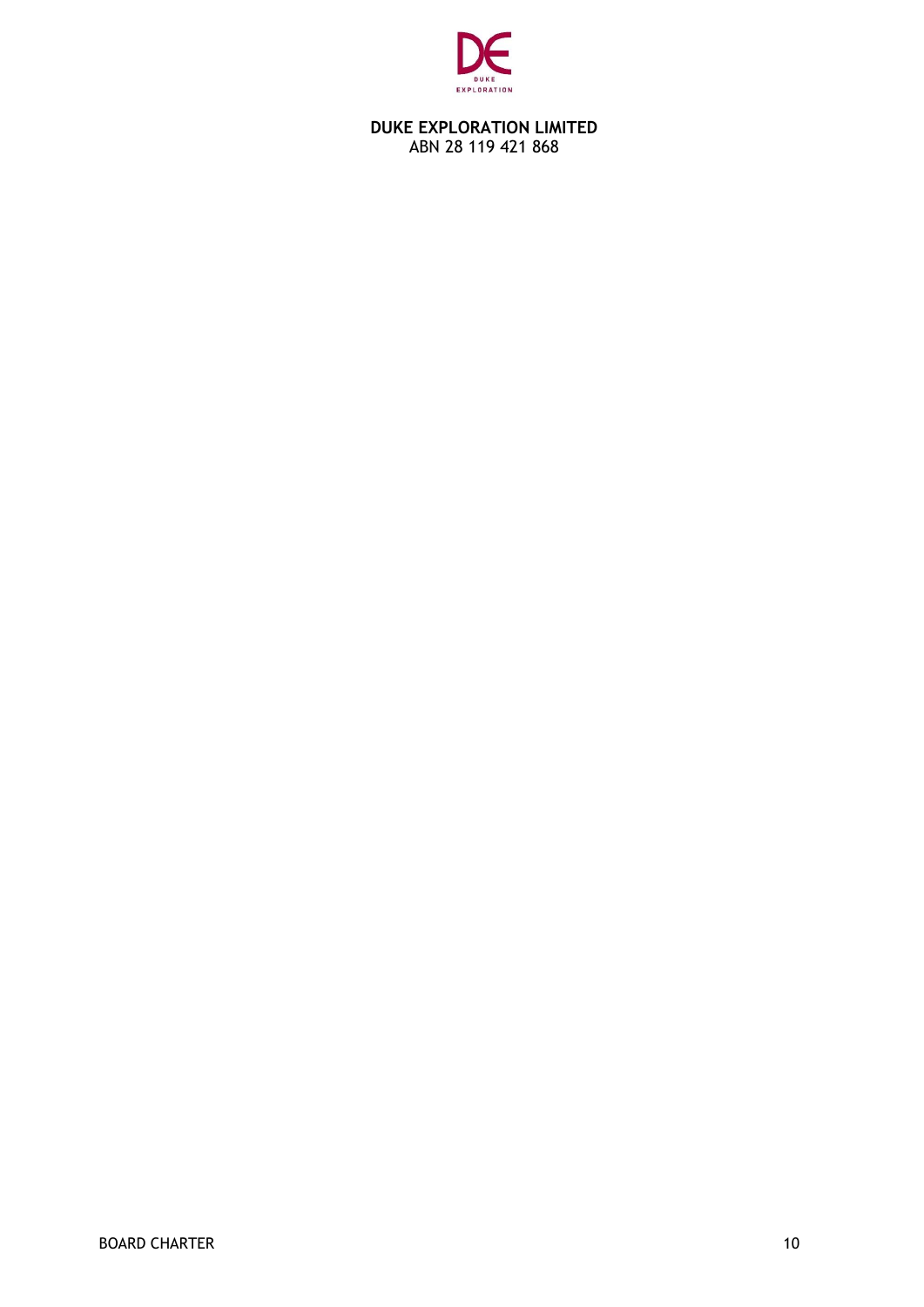

## **DUKE EXPLORATION LIMITED** ABN 28 119 421 868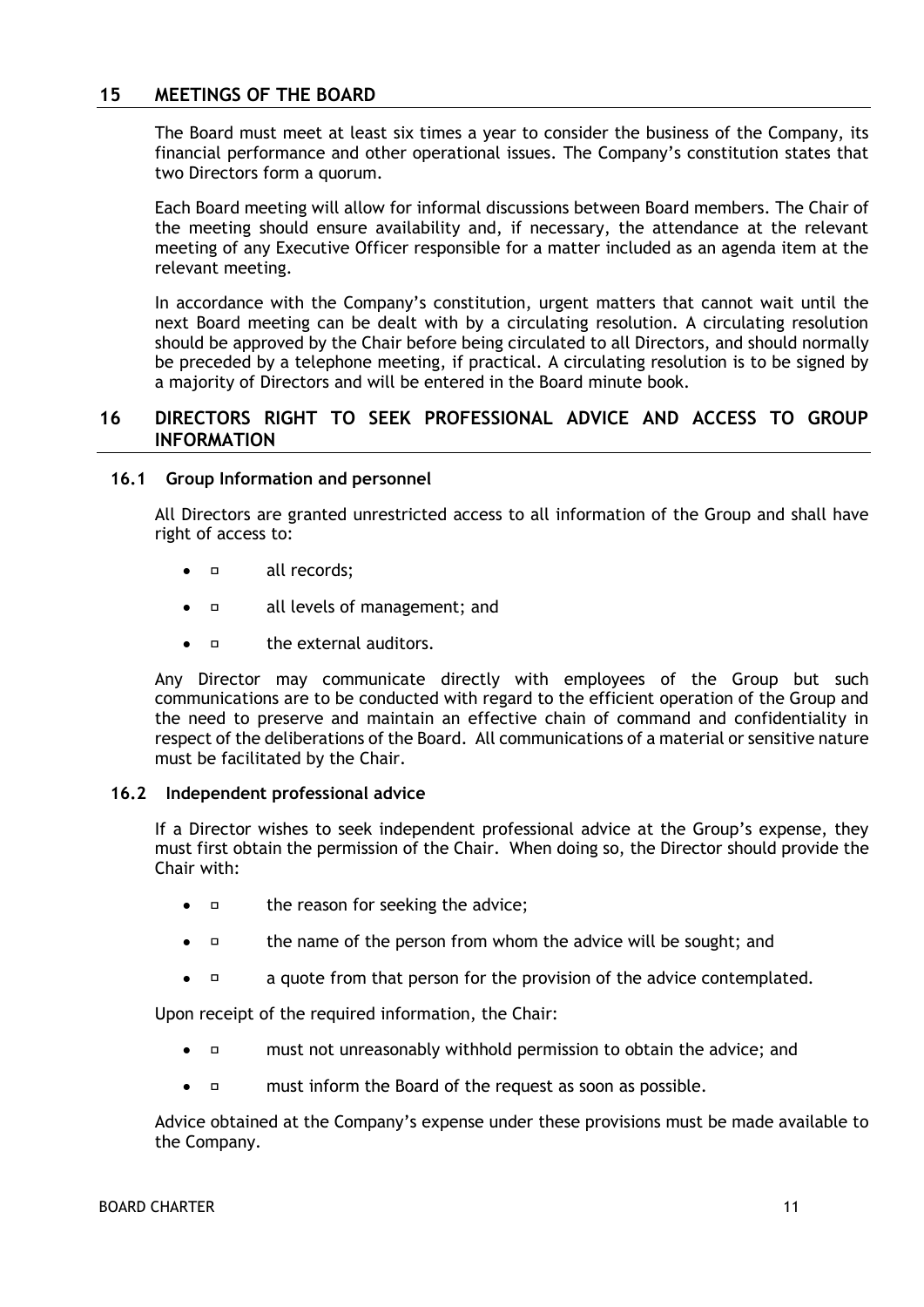# **15 MEETINGS OF THE BOARD**

The Board must meet at least six times a year to consider the business of the Company, its financial performance and other operational issues. The Company's constitution states that two Directors form a quorum.

Each Board meeting will allow for informal discussions between Board members. The Chair of the meeting should ensure availability and, if necessary, the attendance at the relevant meeting of any Executive Officer responsible for a matter included as an agenda item at the relevant meeting.

In accordance with the Company's constitution, urgent matters that cannot wait until the next Board meeting can be dealt with by a circulating resolution. A circulating resolution should be approved by the Chair before being circulated to all Directors, and should normally be preceded by a telephone meeting, if practical. A circulating resolution is to be signed by a majority of Directors and will be entered in the Board minute book.

# **16 DIRECTORS RIGHT TO SEEK PROFESSIONAL ADVICE AND ACCESS TO GROUP INFORMATION**

## **16.1 Group Information and personnel**

All Directors are granted unrestricted access to all information of the Group and shall have right of access to:

- all records;
- **all levels of management; and**
- $\bullet$   $\Box$  the external auditors.

Any Director may communicate directly with employees of the Group but such communications are to be conducted with regard to the efficient operation of the Group and the need to preserve and maintain an effective chain of command and confidentiality in respect of the deliberations of the Board. All communications of a material or sensitive nature must be facilitated by the Chair.

#### **16.2 Independent professional advice**

If a Director wishes to seek independent professional advice at the Group's expense, they must first obtain the permission of the Chair. When doing so, the Director should provide the Chair with:

- $\Box$  the reason for seeking the advice;
- $\Box$  the name of the person from whom the advice will be sought; and
- $\Box$  a quote from that person for the provision of the advice contemplated.

Upon receipt of the required information, the Chair:

- must not unreasonably withhold permission to obtain the advice; and
- must inform the Board of the request as soon as possible.

Advice obtained at the Company's expense under these provisions must be made available to the Company.